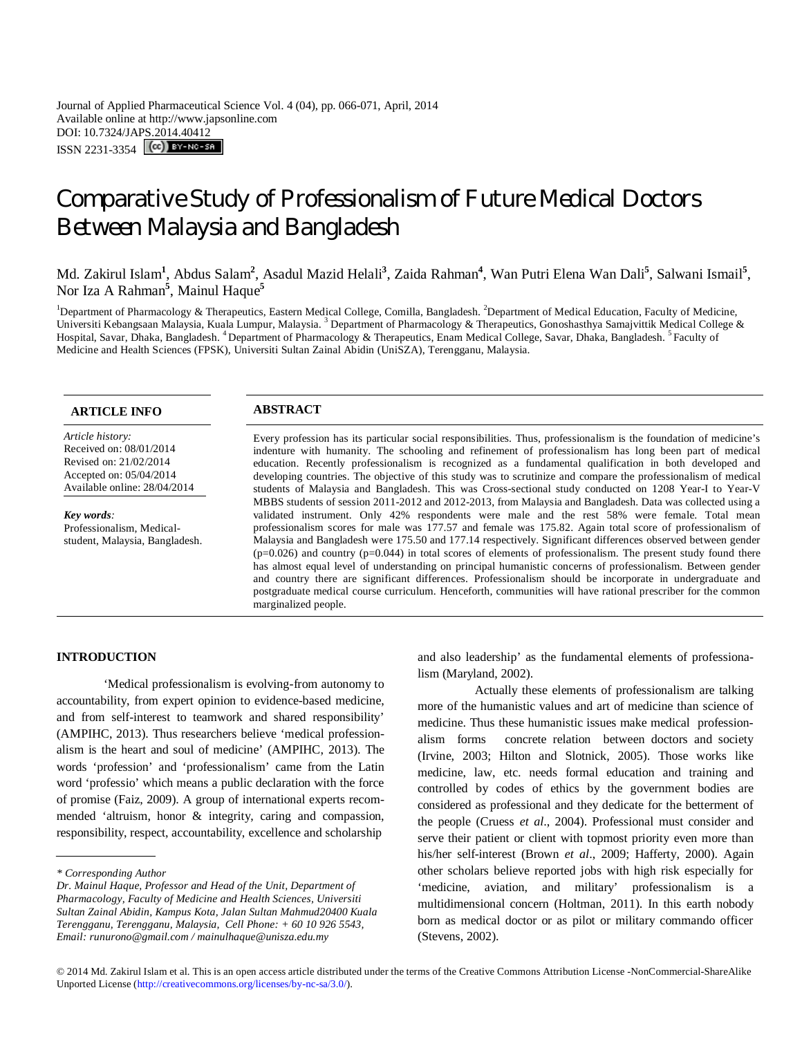Journal of Applied Pharmaceutical Science Vol. 4 (04), pp. 066-071, April, 2014 Available online at http://www.japsonline.com DOI: 10.7324/JAPS.2014.40412 ISSN 2231-3354 **CC**) BY-NC-SA

# Comparative Study of Professionalism of Future Medical Doctors Between Malaysia and Bangladesh

Md. Zakirul Islam<sup>1</sup>, Abdus Salam<sup>2</sup>, Asadul Mazid Helali<sup>3</sup>, Zaida Rahman<sup>4</sup>, Wan Putri Elena Wan Dali<sup>5</sup>, Salwani Ismail<sup>5</sup>, Nor Iza A Rahman**<sup>5</sup>** , Mainul Haque**<sup>5</sup>**

<sup>1</sup>Department of Pharmacology & Therapeutics, Eastern Medical College, Comilla, Bangladesh. <sup>2</sup>Department of Medical Education, Faculty of Medicine, Universiti Kebangsaan Malaysia, Kuala Lumpur, Malaysia.<sup>3</sup> Department of Pharmacology & Therapeutics, Gonoshasthya Samajvittik Medical College & Hospital, Savar, Dhaka, Bangladesh. <sup>4</sup> Department of Pharmacology & Therapeutics, Enam Medical College, Savar, Dhaka, Bangladesh. <sup>5</sup> Faculty of Medicine and Health Sciences (FPSK), Universiti Sultan Zainal Abidin (UniSZA), Terengganu, Malaysia.

*Article history:* Received on: 08/01/2014 Revised on: 21/02/2014 Accepted on: 05/04/2014 Available online: 28/04/2014

*Key words:*  Professionalism, Medicalstudent, Malaysia, Bangladesh.

# **ARTICLE INFO ABSTRACT**

Every profession has its particular social responsibilities. Thus, professionalism is the foundation of medicine's indenture with humanity. The schooling and refinement of professionalism has long been part of medical education. Recently professionalism is recognized as a fundamental qualification in both developed and developing countries. The objective of this study was to scrutinize and compare the professionalism of medical students of Malaysia and Bangladesh. This was Cross-sectional study conducted on 1208 Year-I to Year-V MBBS students of session 2011-2012 and 2012-2013, from Malaysia and Bangladesh. Data was collected using a validated instrument. Only 42% respondents were male and the rest 58% were female. Total mean professionalism scores for male was 177.57 and female was 175.82. Again total score of professionalism of Malaysia and Bangladesh were 175.50 and 177.14 respectively. Significant differences observed between gender  $(p=0.026)$  and country  $(p=0.044)$  in total scores of elements of professionalism. The present study found there has almost equal level of understanding on principal humanistic concerns of professionalism. Between gender and country there are significant differences. Professionalism should be incorporate in undergraduate and postgraduate medical course curriculum. Henceforth, communities will have rational prescriber for the common marginalized people.

# **INTRODUCTION**

'Medical professionalism is evolving-from autonomy to accountability, from expert opinion to evidence-based medicine, and from self-interest to teamwork and shared responsibility' (AMPIHC, 2013). Thus researchers believe 'medical professionalism is the heart and soul of medicine' (AMPIHC, 2013). The words 'profession' and 'professionalism' came from the Latin word 'professio' which means a public declaration with the force of promise (Faiz, 2009). A group of international experts recommended 'altruism, honor & integrity, caring and compassion, responsibility, respect, accountability, excellence and scholarship

and also leadership' as the fundamental elements of professionalism (Maryland, 2002).

Actually these elements of professionalism are talking more of the humanistic values and art of medicine than science of medicine. Thus these humanistic issues make medical professionalism forms concrete relation between doctors and society (Irvine, 2003; Hilton and Slotnick, 2005). Those works like medicine, law, etc. needs formal education and training and controlled by codes of ethics by the government bodies are considered as professional and they dedicate for the betterment of the people (Cruess *et al*., 2004). Professional must consider and serve their patient or client with topmost priority even more than his/her self-interest (Brown *et al*., 2009; Hafferty, 2000). Again other scholars believe reported jobs with high risk especially for 'medicine, aviation, and military' professionalism is a multidimensional concern (Holtman, 2011). In this earth nobody born as medical doctor or as pilot or military commando officer (Stevens, 2002).

*<sup>\*</sup> Corresponding Author*

*Dr. Mainul Haque, Professor and Head of the Unit, Department of Pharmacology, Faculty of Medicine and Health Sciences, Universiti Sultan Zainal Abidin, Kampus Kota, Jalan Sultan Mahmud20400 Kuala Terengganu, Terengganu, Malaysia, Cell Phone: + 60 10 926 5543, Email: runurono@gmail.com / mainulhaque@unisza.edu.my*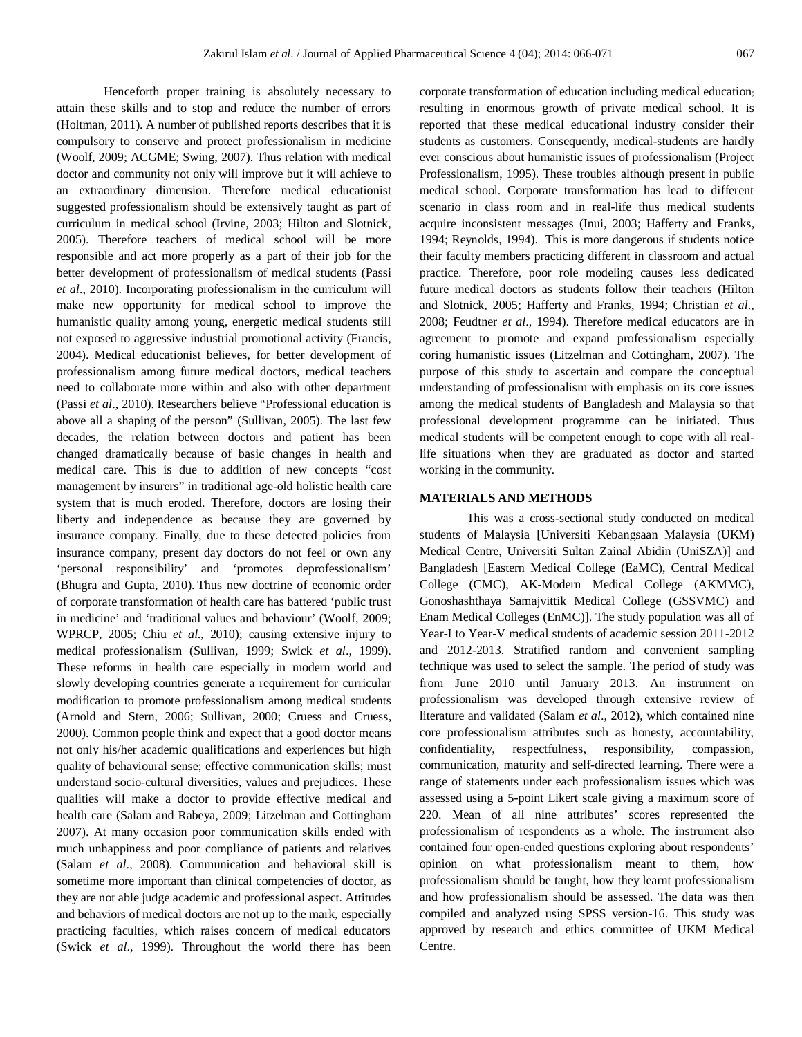Henceforth proper training is absolutely necessary to attain these skills and to stop and reduce the number of errors (Holtman, 2011). A number of published reports describes that it is compulsory to conserve and protect professionalism in medicine (Woolf, 2009; ACGME; Swing, 2007). Thus relation with medical doctor and community not only will improve but it will achieve to an extraordinary dimension. Therefore medical educationist suggested professionalism should be extensively taught as part of curriculum in medical school (Irvine, 2003; Hilton and Slotnick, 2005). Therefore teachers of medical school will be more responsible and act more properly as a part of their job for the better development of professionalism of medical students (Passi *et al*., 2010). Incorporating professionalism in the curriculum will make new opportunity for medical school to improve the humanistic quality among young, energetic medical students still not exposed to aggressive industrial promotional activity (Francis, 2004). Medical educationist believes, for better development of professionalism among future medical doctors, medical teachers need to collaborate more within and also with other department (Passi *et al*., 2010). Researchers believe "Professional education is above all a shaping of the person" (Sullivan, 2005). The last few decades, the relation between doctors and patient has been changed dramatically because of basic changes in health and medical care. This is due to addition of new concepts "cost management by insurers" in traditional age-old holistic health care system that is much eroded. Therefore, doctors are losing their liberty and independence as because they are governed by insurance company. Finally, due to these detected policies from insurance company, present day doctors do not feel or own any 'personal responsibility' and 'promotes deprofessionalism' (Bhugra and Gupta, 2010). Thus new doctrine of economic order of corporate transformation of health care has battered 'public trust in medicine' and 'traditional values and behaviour' (Woolf, 2009; WPRCP, 2005; Chiu *et al*., 2010); causing extensive injury to medical professionalism (Sullivan, 1999; Swick *et al*., 1999). These reforms in health care especially in modern world and slowly developing countries generate a requirement for curricular modification to promote professionalism among medical students (Arnold and Stern, 2006; Sullivan, 2000; Cruess and Cruess, 2000). Common people think and expect that a good doctor means not only his/her academic qualifications and experiences but high quality of behavioural sense; effective communication skills; must understand socio-cultural diversities, values and prejudices. These qualities will make a doctor to provide effective medical and health care (Salam and Rabeya, 2009; Litzelman and Cottingham 2007). At many occasion poor communication skills ended with much unhappiness and poor compliance of patients and relatives (Salam *et al*., 2008). Communication and behavioral skill is sometime more important than clinical competencies of doctor, as they are not able judge academic and professional aspect. Attitudes and behaviors of medical doctors are not up to the mark, especially practicing faculties, which raises concern of medical educators (Swick *et al*., 1999). Throughout the world there has been corporate transformation of education including medical education; resulting in enormous growth of private medical school. It is reported that these medical educational industry consider their students as customers. Consequently, medical-students are hardly ever conscious about humanistic issues of professionalism (Project Professionalism, 1995). These troubles although present in public medical school. Corporate transformation has lead to different scenario in class room and in real-life thus medical students acquire inconsistent messages (Inui, 2003; Hafferty and Franks, 1994; Reynolds, 1994). This is more dangerous if students notice their faculty members practicing different in classroom and actual practice. Therefore, poor role modeling causes less dedicated future medical doctors as students follow their teachers (Hilton and Slotnick, 2005; Hafferty and Franks, 1994; Christian *et al*., 2008; Feudtner *et al*., 1994). Therefore medical educators are in agreement to promote and expand professionalism especially coring humanistic issues (Litzelman and Cottingham, 2007). The purpose of this study to ascertain and compare the conceptual understanding of professionalism with emphasis on its core issues among the medical students of Bangladesh and Malaysia so that professional development programme can be initiated. Thus medical students will be competent enough to cope with all reallife situations when they are graduated as doctor and started working in the community.

# **MATERIALS AND METHODS**

This was a cross-sectional study conducted on medical students of Malaysia [Universiti Kebangsaan Malaysia (UKM) Medical Centre, Universiti Sultan Zainal Abidin (UniSZA)] and Bangladesh [Eastern Medical College (EaMC), Central Medical College (CMC), AK-Modern Medical College (AKMMC), Gonoshashthaya Samajvittik Medical College (GSSVMC) and Enam Medical Colleges (EnMC)]. The study population was all of Year-I to Year-V medical students of academic session 2011-2012 and 2012-2013. Stratified random and convenient sampling technique was used to select the sample. The period of study was from June 2010 until January 2013. An instrument on professionalism was developed through extensive review of literature and validated (Salam *et al*., 2012), which contained nine core professionalism attributes such as honesty, accountability, confidentiality, respectfulness, responsibility, compassion, communication, maturity and self-directed learning. There were a range of statements under each professionalism issues which was assessed using a 5-point Likert scale giving a maximum score of 220. Mean of all nine attributes' scores represented the professionalism of respondents as a whole. The instrument also contained four open-ended questions exploring about respondents' opinion on what professionalism meant to them, how professionalism should be taught, how they learnt professionalism and how professionalism should be assessed. The data was then compiled and analyzed using SPSS version-16. This study was approved by research and ethics committee of UKM Medical Centre.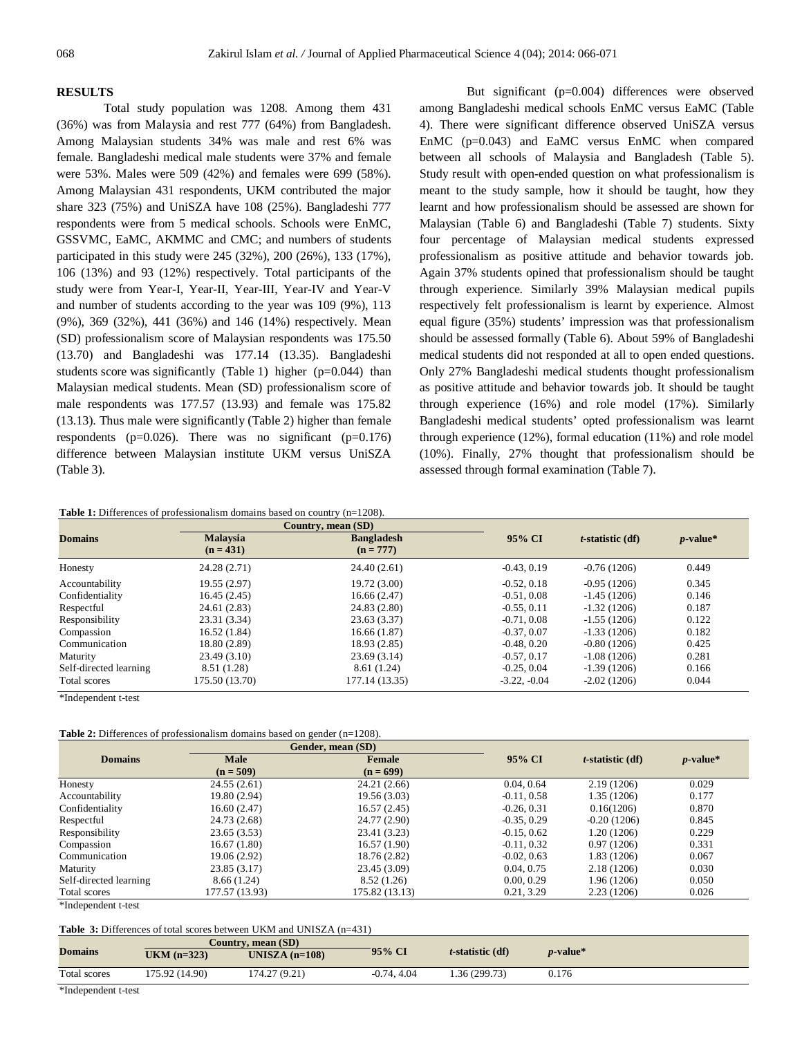### **RESULTS**

Total study population was 1208. Among them 431 (36%) was from Malaysia and rest 777 (64%) from Bangladesh. Among Malaysian students 34% was male and rest 6% was female. Bangladeshi medical male students were 37% and female were 53%. Males were 509 (42%) and females were 699 (58%). Among Malaysian 431 respondents, UKM contributed the major share 323 (75%) and UniSZA have 108 (25%). Bangladeshi 777 respondents were from 5 medical schools. Schools were EnMC, GSSVMC, EaMC, AKMMC and CMC; and numbers of students participated in this study were 245 (32%), 200 (26%), 133 (17%), 106 (13%) and 93 (12%) respectively. Total participants of the study were from Year-I, Year-II, Year-III, Year-IV and Year-V and number of students according to the year was 109 (9%), 113 (9%), 369 (32%), 441 (36%) and 146 (14%) respectively. Mean (SD) professionalism score of Malaysian respondents was 175.50 (13.70) and Bangladeshi was 177.14 (13.35). Bangladeshi students score was significantly (Table 1) higher (p=0.044) than Malaysian medical students. Mean (SD) professionalism score of male respondents was 177.57 (13.93) and female was 175.82 (13.13). Thus male were significantly (Table 2) higher than female respondents ( $p=0.026$ ). There was no significant ( $p=0.176$ ) difference between Malaysian institute UKM versus UniSZA (Table 3).

But significant (p=0.004) differences were observed among Bangladeshi medical schools EnMC versus EaMC (Table 4). There were significant difference observed UniSZA versus EnMC (p=0.043) and EaMC versus EnMC when compared between all schools of Malaysia and Bangladesh (Table 5). Study result with open-ended question on what professionalism is meant to the study sample, how it should be taught, how they learnt and how professionalism should be assessed are shown for Malaysian (Table 6) and Bangladeshi (Table 7) students. Sixty four percentage of Malaysian medical students expressed professionalism as positive attitude and behavior towards job. Again 37% students opined that professionalism should be taught through experience. Similarly 39% Malaysian medical pupils respectively felt professionalism is learnt by experience. Almost equal figure (35%) students' impression was that professionalism should be assessed formally (Table 6). About 59% of Bangladeshi medical students did not responded at all to open ended questions. Only 27% Bangladeshi medical students thought professionalism as positive attitude and behavior towards job. It should be taught through experience (16%) and role model (17%). Similarly Bangladeshi medical students' opted professionalism was learnt through experience (12%), formal education (11%) and role model (10%). Finally, 27% thought that professionalism should be assessed through formal examination (Table 7).

**Table 1:** Differences of professionalism domains based on country (n=1208).

|                        |                                | Country, mean (SD)               |                |                     | $p$ -value* |
|------------------------|--------------------------------|----------------------------------|----------------|---------------------|-------------|
| <b>Domains</b>         | <b>Malaysia</b><br>$(n = 431)$ | <b>Bangladesh</b><br>$(n = 777)$ | 95% CI         | $t$ -statistic (df) |             |
| Honesty                | 24.28 (2.71)                   | 24.40(2.61)                      | $-0.43, 0.19$  | $-0.76(1206)$       | 0.449       |
| Accountability         | 19.55 (2.97)                   | 19.72 (3.00)                     | $-0.52, 0.18$  | $-0.95(1206)$       | 0.345       |
| Confidentiality        | 16.45(2.45)                    | 16.66(2.47)                      | $-0.51, 0.08$  | $-1.45(1206)$       | 0.146       |
| Respectful             | 24.61 (2.83)                   | 24.83 (2.80)                     | $-0.55, 0.11$  | $-1.32(1206)$       | 0.187       |
| Responsibility         | 23.31 (3.34)                   | 23.63 (3.37)                     | $-0.71, 0.08$  | $-1.55(1206)$       | 0.122       |
| Compassion             | 16.52(1.84)                    | 16.66(1.87)                      | $-0.37, 0.07$  | $-1.33(1206)$       | 0.182       |
| Communication          | 18.80 (2.89)                   | 18.93 (2.85)                     | $-0.48, 0.20$  | $-0.80(1206)$       | 0.425       |
| Maturity               | 23.49(3.10)                    | 23.69(3.14)                      | $-0.57, 0.17$  | $-1.08(1206)$       | 0.281       |
| Self-directed learning | 8.51 (1.28)                    | 8.61(1.24)                       | $-0.25, 0.04$  | $-1.39(1206)$       | 0.166       |
| Total scores           | 175.50 (13.70)                 | 177.14 (13.35)                   | $-3.22, -0.04$ | $-2.02(1206)$       | 0.044       |

\*Independent t-test

|  | <b>Table 2:</b> Differences of professionalism domains based on gender $(n=1208)$ . |
|--|-------------------------------------------------------------------------------------|
|  |                                                                                     |

|                        |                | Gender, mean (SD) |               | $t$ -statistic (df) | $p$ -value* |
|------------------------|----------------|-------------------|---------------|---------------------|-------------|
| <b>Domains</b>         | <b>Male</b>    | Female            | 95% CI        |                     |             |
|                        | $(n = 509)$    | $(n = 699)$       |               |                     |             |
| Honesty                | 24.55(2.61)    | 24.21 (2.66)      | 0.04, 0.64    | 2.19(1206)          | 0.029       |
| Accountability         | 19.80 (2.94)   | 19.56 (3.03)      | $-0.11, 0.58$ | 1.35 (1206)         | 0.177       |
| Confidentiality        | 16.60(2.47)    | 16.57(2.45)       | $-0.26, 0.31$ | 0.16(1206)          | 0.870       |
| Respectful             | 24.73 (2.68)   | 24.77 (2.90)      | $-0.35, 0.29$ | $-0.20(1206)$       | 0.845       |
| Responsibility         | 23.65(3.53)    | 23.41 (3.23)      | $-0.15, 0.62$ | 1.20 (1206)         | 0.229       |
| Compassion             | 16.67 (1.80)   | 16.57(1.90)       | $-0.11, 0.32$ | 0.97(1206)          | 0.331       |
| Communication          | 19.06 (2.92)   | 18.76 (2.82)      | $-0.02, 0.63$ | 1.83 (1206)         | 0.067       |
| Maturity               | 23.85(3.17)    | 23.45 (3.09)      | 0.04, 0.75    | 2.18 (1206)         | 0.030       |
| Self-directed learning | 8.66(1.24)     | 8.52(1.26)        | 0.00, 0.29    | 1.96 (1206)         | 0.050       |
| Total scores           | 177.57 (13.93) | 175.82 (13.13)    | 0.21, 3.29    | 2.23(1206)          | 0.026       |

\*Independent t-test

#### **Table 3:** Differences of total scores between UKM and UNISZA (n=431)

|                |                | Country, mean (SD) |               |                     |                  |
|----------------|----------------|--------------------|---------------|---------------------|------------------|
| <b>Domains</b> | $UKM (n=323)$  | UNISZA $(n=108)$   | 95% CI        | $t$ -statistic (df) | <i>p</i> -value* |
| Total scores   | 175.92 (14.90) | 174.27(9.21)       | $-0.74, 4.04$ | 1.36 (299.73)       | 0.176            |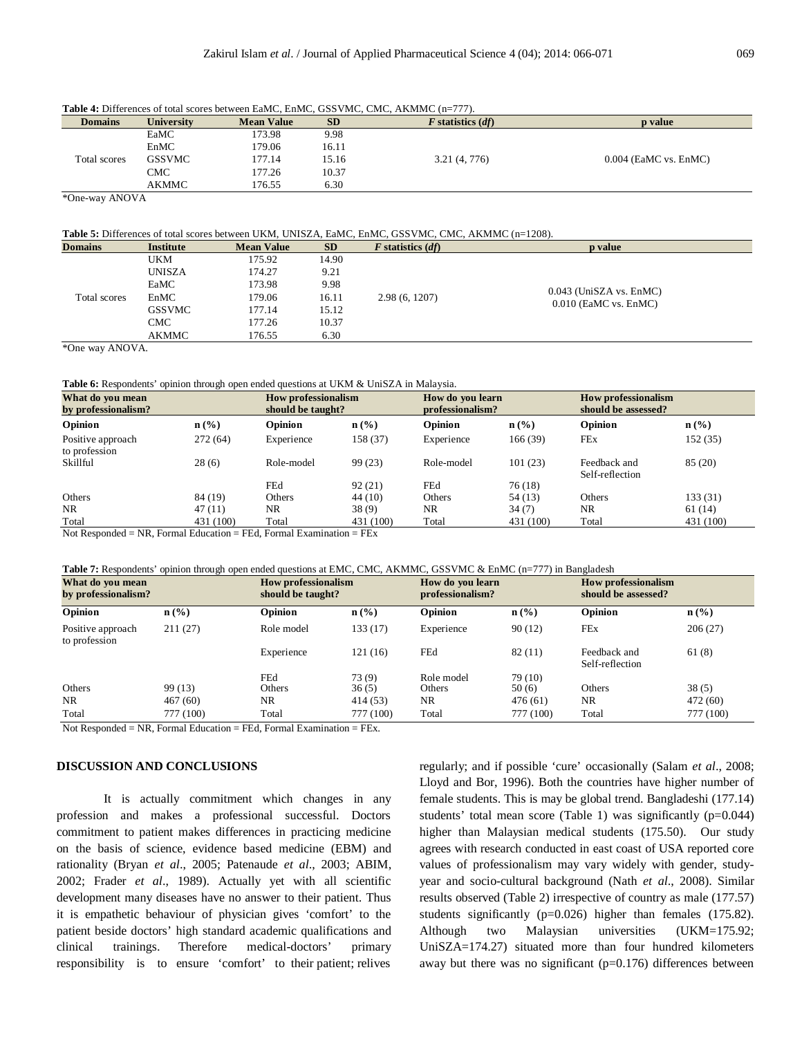| <b>THEIR T</b> . DIRECTIVES OF ROLL SCOPES DELWICH EXERCIT EXERCIT CODE FRIC, CITE, THERMINE (H=111). |                   |                   |           |                       |                         |  |  |  |
|-------------------------------------------------------------------------------------------------------|-------------------|-------------------|-----------|-----------------------|-------------------------|--|--|--|
| <b>Domains</b>                                                                                        | <b>University</b> | <b>Mean Value</b> | <b>SD</b> | $F$ statistics $(df)$ | <b>p</b> value          |  |  |  |
|                                                                                                       | EaMC              | 173.98            | 9.98      |                       |                         |  |  |  |
|                                                                                                       | EnMC              | 179.06            | 16.11     |                       |                         |  |  |  |
| Total scores                                                                                          | <b>GSSVMC</b>     | 177.14            | 15.16     | 3.21(4, 776)          | $0.004$ (EaMC vs. EnMC) |  |  |  |
|                                                                                                       | CMC               | 177.26            | 10.37     |                       |                         |  |  |  |
|                                                                                                       | AKMMC             | 176.55            | 6.30      |                       |                         |  |  |  |

**Table 4:** Differences of total scores between EaMC, EnMC, GSSVMC, CMC, AKMMC (n=777).

\*One-way ANOVA

#### **Table 5:** Differences of total scores between UKM, UNISZA, EaMC, EnMC, GSSVMC, CMC, AKMMC (n=1208).

| <b>Domains</b> | <b>Institute</b> | <b>Mean Value</b> | <b>SD</b> | $F$ statistics $(df)$ | p value                   |
|----------------|------------------|-------------------|-----------|-----------------------|---------------------------|
| Total scores   | <b>UKM</b>       | 175.92            | 14.90     |                       |                           |
|                | <b>UNISZA</b>    | 174.27            | 9.21      |                       |                           |
|                | EaMC             | 173.98            | 9.98      |                       |                           |
|                | EnMC             | 179.06            | 16.11     | 2.98(6, 1207)         | $0.043$ (UniSZA vs. EnMC) |
|                | <b>GSSVMC</b>    | 177.14            | 15.12     |                       | $0.010$ (EaMC vs. EnMC)   |
|                | <b>CMC</b>       | 177.26            | 10.37     |                       |                           |
|                | AKMMC            | 176.55            | 6.30      |                       |                           |

\*One way ANOVA.

**Table 6:** Respondents' opinion through open ended questions at UKM & UniSZA in Malaysia.

| What do you mean<br>by professionalism?                                                                           |                  |            | <b>How professionalism</b><br>should be taught? |            | How do you learn<br>professionalism? |                                 | <b>How professionalism</b><br>should be assessed? |  |
|-------------------------------------------------------------------------------------------------------------------|------------------|------------|-------------------------------------------------|------------|--------------------------------------|---------------------------------|---------------------------------------------------|--|
| Opinion                                                                                                           | $\mathbf{n}(\%)$ | Opinion    | $\mathbf{n}(\%)$                                | Opinion    | $\mathbf{n}(\%)$                     | Opinion                         | $\mathbf{n}(\%)$                                  |  |
| Positive approach<br>to profession                                                                                | 272(64)          | Experience | 158 (37)                                        | Experience | 166 (39)                             | FEx                             | 152 (35)                                          |  |
| Skillful                                                                                                          | 28(6)            | Role-model | 99 (23)                                         | Role-model | 101(23)                              | Feedback and<br>Self-reflection | 85 (20)                                           |  |
|                                                                                                                   |                  | FEd        | 92(21)                                          | FEd        | 76 (18)                              |                                 |                                                   |  |
| Others                                                                                                            | 84 (19)          | Others     | 44 (10)                                         | Others     | 54 (13)                              | Others                          | 133 (31)                                          |  |
| NR.                                                                                                               | 47(11)           | NR.        | 38(9)                                           | NR.        | 34(7)                                | NR.                             | 61 (14)                                           |  |
| Total                                                                                                             | 431 (100)        | Total      | 431 (100)                                       | Total      | 431 (100)                            | Total                           | 431 (100)                                         |  |
| $\mathbf{N}$ ot Desponded – $\mathbf{NP}$ Eormal Education – EE $\mathbf{A}$ Eormal Examination – EE $\mathbf{v}$ |                  |            |                                                 |            |                                      |                                 |                                                   |  |

Not Responded = NR, Formal Education = FEd, Formal Examination = FEx

**Table 7:** Respondents' opinion through open ended questions at EMC, CMC, AKMMC, GSSVMC & EnMC (n=777) in Bangladesh

| What do you mean<br>by professionalism? |                  |            | <b>How professionalism</b><br>should be taught? |            | How do you learn<br>professionalism? |                                 | <b>How professionalism</b><br>should be assessed? |  |
|-----------------------------------------|------------------|------------|-------------------------------------------------|------------|--------------------------------------|---------------------------------|---------------------------------------------------|--|
| Opinion                                 | $\mathbf{n}(\%)$ | Opinion    | $\mathbf{n}(\%)$                                | Opinion    | $\mathbf{n}(\%)$                     | <b>Opinion</b>                  | $\mathbf{n}(\%)$                                  |  |
| Positive approach<br>to profession      | 211(27)          | Role model | 133 (17)                                        | Experience | 90(12)                               | FEx                             | 206(27)                                           |  |
|                                         |                  | Experience | 121(16)                                         | FEd        | 82(11)                               | Feedback and<br>Self-reflection | 61(8)                                             |  |
|                                         |                  | FEd        | 73(9)                                           | Role model | 79 (10)                              |                                 |                                                   |  |
| Others                                  | 99 (13)          | Others     | 36(5)                                           | Others     | 50(6)                                | Others                          | 38(5)                                             |  |
| NR.                                     | 467(60)          | NR         | 414 (53)                                        | NR.        | 476(61)                              | NR.                             | 472 (60)                                          |  |
| Total                                   | 777 (100)        | Total      | 777 (100)                                       | Total      | 777 (100)                            | Total                           | 777 (100)                                         |  |

Not Responded = NR, Formal Education = FEd, Formal Examination = FEx.

# **DISCUSSION AND CONCLUSIONS**

It is actually commitment which changes in any profession and makes a professional successful. Doctors commitment to patient makes differences in practicing medicine on the basis of science, evidence based medicine (EBM) and rationality (Bryan *et al*., 2005; Patenaude *et al*., 2003; ABIM, 2002; Frader *et al*., 1989). Actually yet with all scientific development many diseases have no answer to their patient. Thus it is empathetic behaviour of physician gives 'comfort' to the patient beside doctors' high standard academic qualifications and clinical trainings. Therefore medical-doctors' primary responsibility is to ensure 'comfort' to their patient; relives

regularly; and if possible 'cure' occasionally (Salam *et al*., 2008; Lloyd and Bor, 1996). Both the countries have higher number of female students. This is may be global trend. Bangladeshi (177.14) students' total mean score (Table 1) was significantly  $(p=0.044)$ higher than Malaysian medical students (175.50). Our study agrees with research conducted in east coast of USA reported core values of professionalism may vary widely with gender, studyyear and socio-cultural background (Nath *et al*., 2008). Similar results observed (Table 2) irrespective of country as male (177.57) students significantly (p=0.026) higher than females (175.82). Although two Malaysian universities (UKM=175.92; UniSZA=174.27) situated more than four hundred kilometers away but there was no significant  $(p=0.176)$  differences between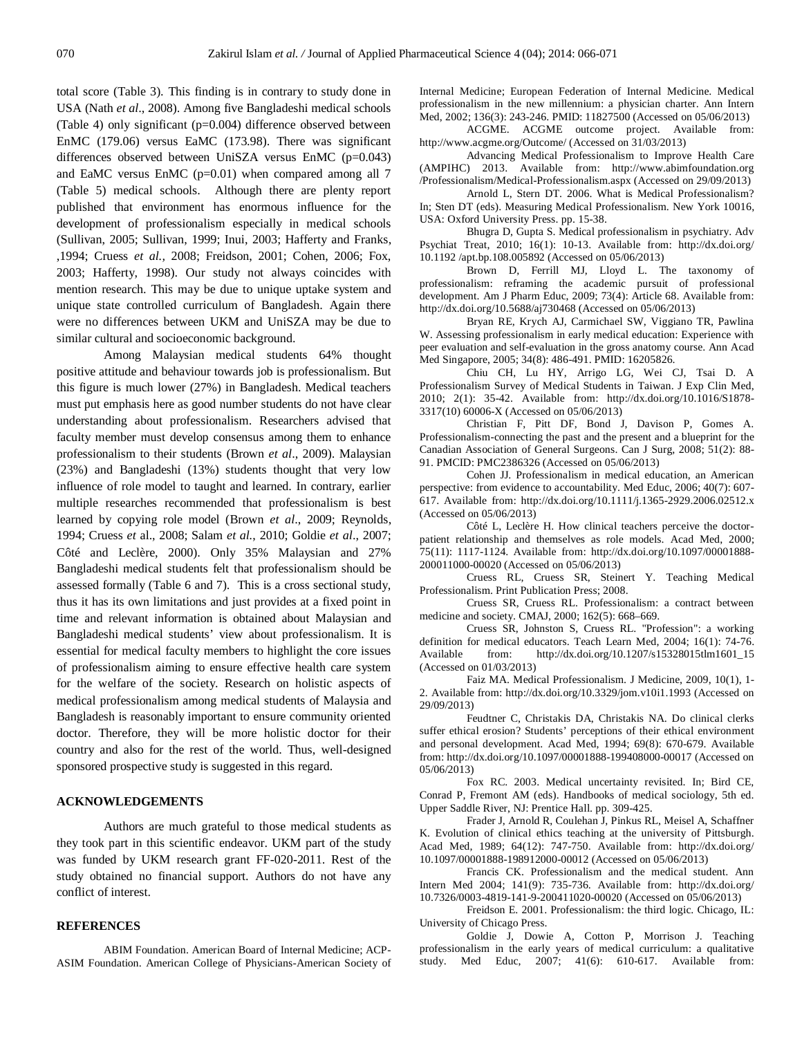total score (Table 3). This finding is in contrary to study done in USA (Nath *et al*., 2008). Among five Bangladeshi medical schools (Table 4) only significant (p=0.004) difference observed between EnMC (179.06) versus EaMC (173.98). There was significant differences observed between UniSZA versus EnMC (p=0.043) and EaMC versus EnMC (p=0.01) when compared among all 7 (Table 5) medical schools. Although there are plenty report published that environment has enormous influence for the development of professionalism especially in medical schools (Sullivan, 2005; Sullivan, 1999; Inui, 2003; Hafferty and Franks, ,1994; Cruess *et al.,* 2008; Freidson, 2001; Cohen, 2006; Fox, 2003; Hafferty, 1998). Our study not always coincides with mention research. This may be due to unique uptake system and unique state controlled curriculum of Bangladesh. Again there were no differences between UKM and UniSZA may be due to similar cultural and socioeconomic background.

Among Malaysian medical students 64% thought positive attitude and behaviour towards job is professionalism. But this figure is much lower (27%) in Bangladesh. Medical teachers must put emphasis here as good number students do not have clear understanding about professionalism. Researchers advised that faculty member must develop consensus among them to enhance professionalism to their students (Brown *et al*., 2009). Malaysian (23%) and Bangladeshi (13%) students thought that very low influence of role model to taught and learned. In contrary, earlier multiple researches recommended that professionalism is best learned by copying role model (Brown *et al*., 2009; Reynolds, 1994; Cruess *et* al., 2008; Salam *et al.*, 2010; Goldie *et al*., 2007; Côté and Leclère, 2000). Only 35% Malaysian and 27% Bangladeshi medical students felt that professionalism should be assessed formally (Table 6 and 7). This is a cross sectional study, thus it has its own limitations and just provides at a fixed point in time and relevant information is obtained about Malaysian and Bangladeshi medical students' view about professionalism. It is essential for medical faculty members to highlight the core issues of professionalism aiming to ensure effective health care system for the welfare of the society. Research on holistic aspects of medical professionalism among medical students of Malaysia and Bangladesh is reasonably important to ensure community oriented doctor. Therefore, they will be more holistic doctor for their country and also for the rest of the world. Thus, well-designed sponsored prospective study is suggested in this regard.

## **ACKNOWLEDGEMENTS**

Authors are much grateful to those medical students as they took part in this scientific endeavor. UKM part of the study was funded by UKM research grant FF-020-2011. Rest of the study obtained no financial support. Authors do not have any conflict of interest.

#### **REFERENCES**

ABIM Foundation. American Board of Internal Medicine; ACP-ASIM Foundation. American College of Physicians-American Society of Internal Medicine; European Federation of Internal Medicine. Medical professionalism in the new millennium: a physician charter. Ann Intern Med, 2002; 136(3): 243-246. PMID: 11827500 (Accessed on 05/06/2013)

ACGME. ACGME outcome project. Available from: http://www.acgme.org/Outcome/ (Accessed on 31/03/2013)

Advancing Medical Professionalism to Improve Health Care (AMPIHC) 2013. Available from: http://www.abimfoundation.org /Professionalism/Medical-Professionalism.aspx (Accessed on 29/09/2013)

Arnold L, Stern DT. 2006. What is Medical Professionalism? In; Sten DT (eds). Measuring Medical Professionalism. New York 10016, USA: Oxford University Press. pp. 15-38.

Bhugra D, Gupta S. Medical professionalism in psychiatry. Adv Psychiat Treat, 2010; 16(1): 10-13. Available from: http://dx.doi.org/ 10.1192 /apt.bp.108.005892 (Accessed on 05/06/2013)

Brown D, Ferrill MJ, Lloyd L. The taxonomy of professionalism: reframing the academic pursuit of professional development. Am J Pharm Educ, 2009; 73(4): Article 68. Available from: http://dx.doi.org/10.5688/aj730468 (Accessed on 05/06/2013)

Bryan RE, Krych AJ, Carmichael SW, Viggiano TR, Pawlina W. Assessing professionalism in early medical education: Experience with peer evaluation and self-evaluation in the gross anatomy course. Ann Acad Med Singapore, 2005; 34(8): 486-491. PMID: 16205826.

Chiu CH, Lu HY, Arrigo LG, Wei CJ, Tsai D. A Professionalism Survey of Medical Students in Taiwan. J Exp Clin Med, 2010; 2(1): 35-42. Available from: http://dx.doi.org/10.1016/S1878- 3317(10) 60006-X (Accessed on 05/06/2013)

Christian F, Pitt DF, Bond J, Davison P, Gomes A. Professionalism-connecting the past and the present and a blueprint for the Canadian Association of General Surgeons. Can J Surg, 2008; 51(2): 88- 91. PMCID: PMC2386326 (Accessed on 05/06/2013)

Cohen JJ. Professionalism in medical education, an American perspective: from evidence to accountability. Med Educ, 2006; 40(7): 607- 617. Available from: http://dx.doi.org/10.1111/j.1365-2929.2006.02512.x (Accessed on 05/06/2013)

Côté L, Leclère H. How clinical teachers perceive the doctorpatient relationship and themselves as role models. Acad Med, 2000; 75(11): 1117-1124. Available from: http://dx.doi.org/10.1097/00001888- 200011000-00020 (Accessed on 05/06/2013)

Cruess RL, Cruess SR, Steinert Y. Teaching Medical Professionalism. Print Publication Press; 2008.

Cruess SR, Cruess RL. Professionalism: a contract between medicine and society. CMAJ, 2000; 162(5): 668–669.

Cruess SR, Johnston S, Cruess RL. "Profession": a working definition for medical educators. Teach Learn Med, 2004; 16(1): 74-76. Available from: http://dx.doi.org/10.1207/s15328015tlm1601\_15 (Accessed on 01/03/2013)

Faiz MA. Medical Professionalism. J Medicine, 2009, 10(1), 1- 2. Available from: http://dx.doi.org/10.3329/jom.v10i1.1993 (Accessed on 29/09/2013)

Feudtner C, Christakis DA, Christakis NA. Do clinical clerks suffer ethical erosion? Students' perceptions of their ethical environment and personal development. Acad Med, 1994; 69(8): 670-679. Available from: http://dx.doi.org/10.1097/00001888-199408000-00017 (Accessed on 05/06/2013)

Fox RC. 2003. Medical uncertainty revisited. In; Bird CE, Conrad P, Fremont AM (eds). Handbooks of medical sociology, 5th ed. Upper Saddle River, NJ: Prentice Hall. pp. 309-425.

Frader J, Arnold R, Coulehan J, Pinkus RL, Meisel A, Schaffner K. Evolution of clinical ethics teaching at the university of Pittsburgh. Acad Med, 1989; 64(12): 747-750. Available from: http://dx.doi.org/ 10.1097/00001888-198912000-00012 (Accessed on 05/06/2013)

Francis CK. Professionalism and the medical student. Ann Intern Med 2004; 141(9): 735-736. Available from: http://dx.doi.org/ 10.7326/0003-4819-141-9-200411020-00020 (Accessed on 05/06/2013)

Freidson E. 2001. Professionalism: the third logic. Chicago, IL: University of Chicago Press.

Goldie J, Dowie A, Cotton P, Morrison J. Teaching professionalism in the early years of medical curriculum: a qualitative study. Med Educ, 2007; 41(6): 610-617. Available from: